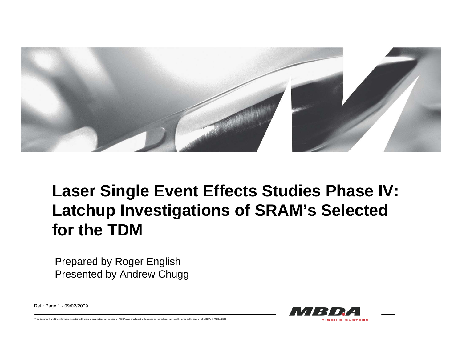

# **Laser Single Event Effects Studies Phase IV: Latchup Investigations of SRAM's Selected for the TDM**

Prepared by Roger English Presented by Andrew Chugg

Ref.: Page 1 - 09/02/2009

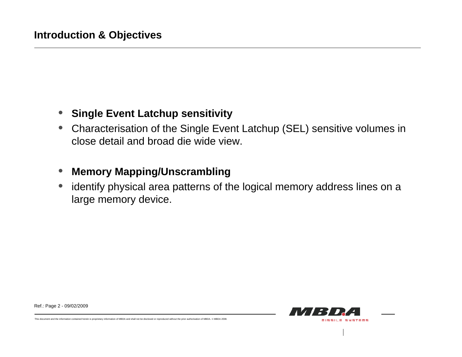#### $\bullet$ **Single Event Latchup sensitivity**

• Characterisation of the Single Event Latchup (SEL) sensitive volumes in close detail and broad die wide view.

#### $\bullet$ **Memory Mapping/Unscrambling**

• identify physical area patterns of the logical memory address lines on a large memory device.



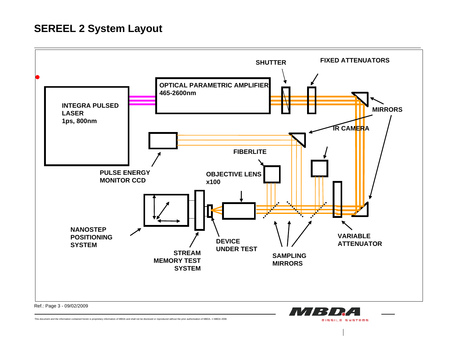#### **SEREEL 2 System Layout**



**MISSILE SYSTEMS**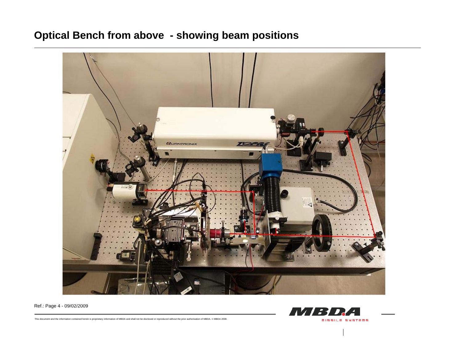## **Optical Bench from above - showing beam positions**



Ref.: Page 4 - 09/02/2009

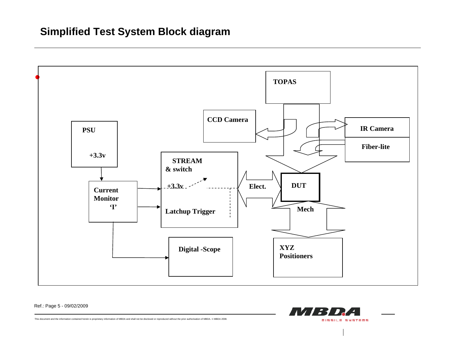## **Simplified Test System Block diagram**



Ref.: Page 5 - 09/02/2009

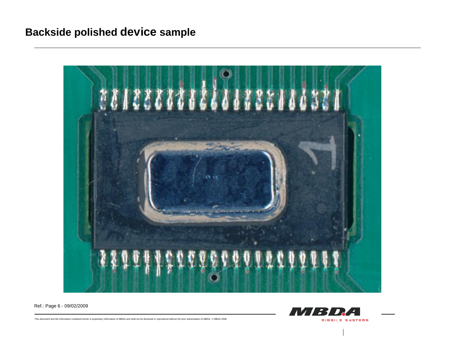## **Backside polished device sample**



Ref.: Page 6 - 09/02/2009

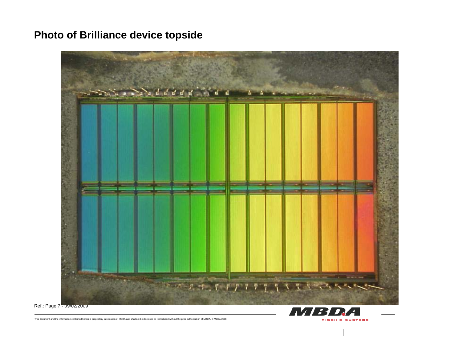## **Photo of Brilliance device topside**



**MBDA** 

**MISSILE SYSTEMS** 

Ref.: Page 7 - 09/02/2009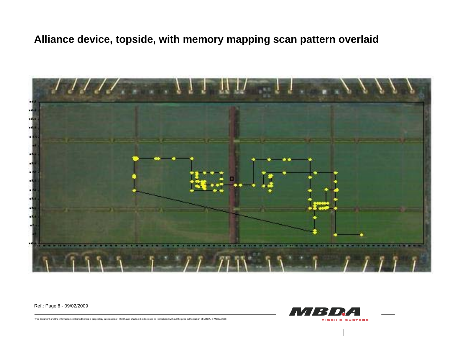

Ref.: Page 8 - 09/02/2009

![](_page_7_Picture_3.jpeg)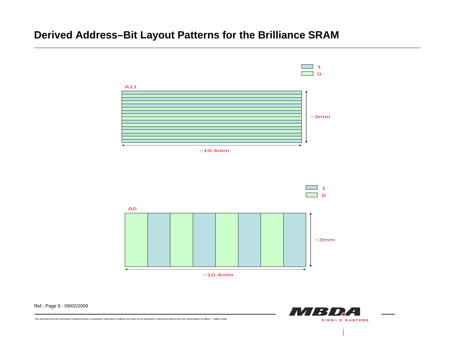## **Derived Address–Bit Layout Patterns for the Brilliance SRAM**

![](_page_8_Figure_1.jpeg)

![](_page_8_Picture_2.jpeg)

Ref.: Page 9 - 09/02/2009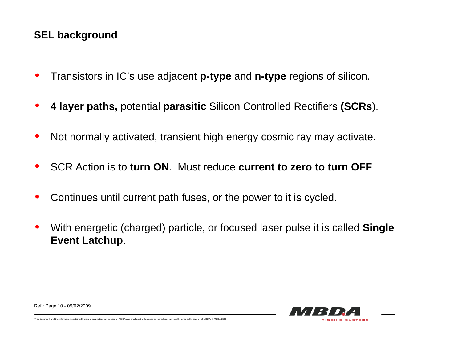- •Transistors in IC's use adjacent **p-type** and **n-type** regions of silicon.
- •**4 layer paths,** potential **parasitic** Silicon Controlled Rectifiers **(SCRs**).
- •Not normally activated, transient high energy cosmic ray may activate.
- •SCR Action is to **turn ON**. Must reduce **current to zero to turn OFF**
- •Continues until current path fuses, or the power to it is cycled.
- • With energetic (charged) particle, or focused laser pulse it is called **Single Event Latchup**.

![](_page_9_Picture_7.jpeg)

Ref.: Page 10 - 09/02/2009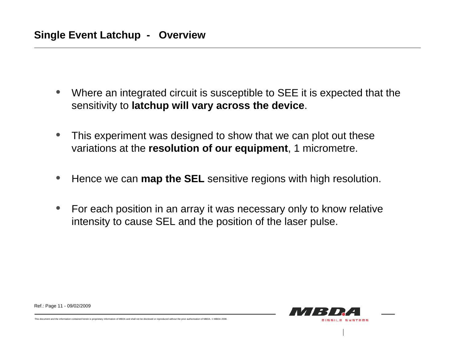- $\bullet$  Where an integrated circuit is susceptible to SEE it is expected that the sensitivity to **latchup will vary across the device**.
- $\bullet$  This experiment was designed to show that we can plot out these variations at the **resolution of our equipment**, 1 micrometre.
- •Hence we can **map the SEL** sensitive regions with high resolution.
- $\bullet$  For each position in an array it was necessary only to know relative intensity to cause SEL and the position of the laser pulse.

Ref.: Page 11 - 09/02/2009

![](_page_10_Picture_6.jpeg)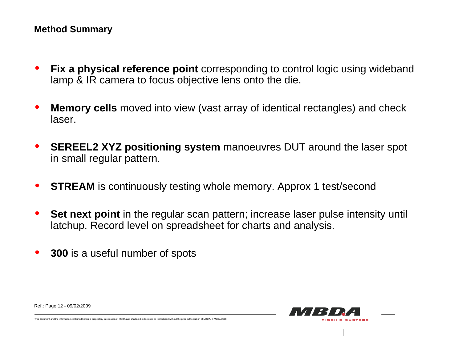- • **Fix a physical reference point** corresponding to control logic using wideband lamp & IR camera to focus objective lens onto the die.
- • **Memory cells** moved into view (vast array of identical rectangles) and check laser.
- • **SEREEL2 XYZ positioning system** manoeuvres DUT around the laser spot in small regular pattern.
- •**STREAM** is continuously testing whole memory. Approx 1 test/second
- •**Set next point** in the regular scan pattern; increase laser pulse intensity until latchup. Record level on spreadsheet for charts and analysis.
- •**300** is a useful number of spots

![](_page_11_Picture_7.jpeg)

Ref.: Page 12 - 09/02/2009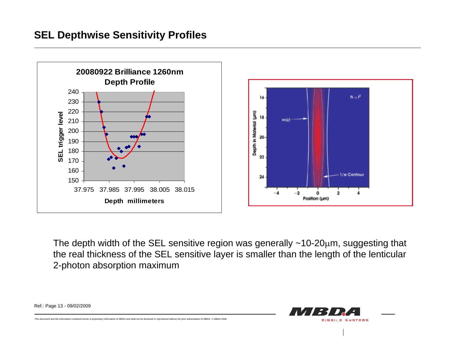![](_page_12_Figure_1.jpeg)

The depth width of the SEL sensitive region was generally  $~10$ -20 $~\mu$ m, suggesting that the real thickness of the SEL sensitive layer is smaller than the length of the lenticular 2-photon absorption maximum

![](_page_12_Picture_3.jpeg)

Ref.: Page 13 - 09/02/2009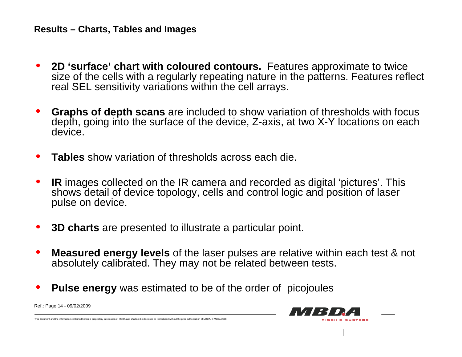- • **2D 'surface' chart with coloured contours.** Features approximate to twice size of the cells with a regularly repeating nature in the patterns. Features reflect real SEL sensitivity variations within the cell arrays.
- • **Graphs of depth scans** are included to show variation of thresholds with focus depth, going into the surface of the device, Z-axis, at two X-Y locations on each device.
- •**Tables** show variation of thresholds across each die.
- • **IR** images collected on the IR camera and recorded as digital 'pictures'. This shows detail of device topology, cells and control logic and position of laser pulse on device.
- •**3D charts** are presented to illustrate a particular point.
- • **Measured energy levels** of the laser pulses are relative within each test & not absolutely calibrated. They may not be related between tests.

MISSILE SYSTEMS

•**Pulse energy** was estimated to be of the order of picojoules

Ref.: Page 14 - 09/02/2009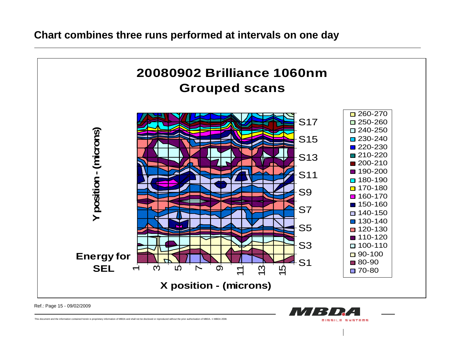![](_page_14_Figure_1.jpeg)

**MISSILE SYSTEMS** 

Ref.: Page 15 - 09/02/2009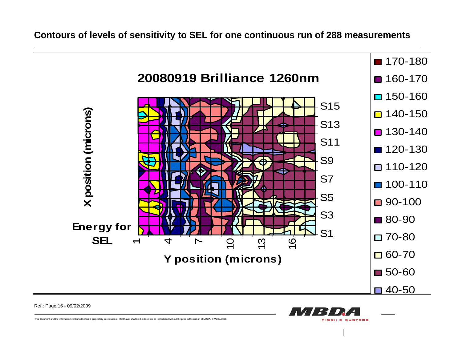**Contours of levels of sensitivity to SEL for one continuous run of 288 measurements** 

![](_page_15_Figure_1.jpeg)

**MISSILE SYSTEMS** 

Ref.: Page 16 - 09/02/2009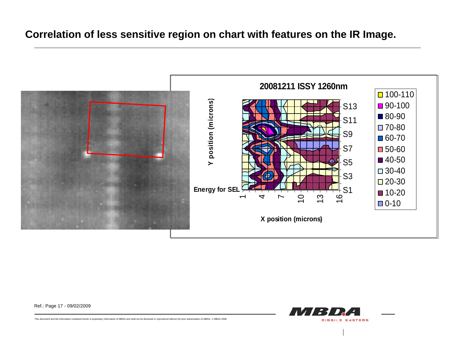#### **Correlation of less sensitive region on chart with features on the IR Image.**

![](_page_16_Figure_1.jpeg)

Ref.: Page 17 - 09/02/2009

![](_page_16_Picture_3.jpeg)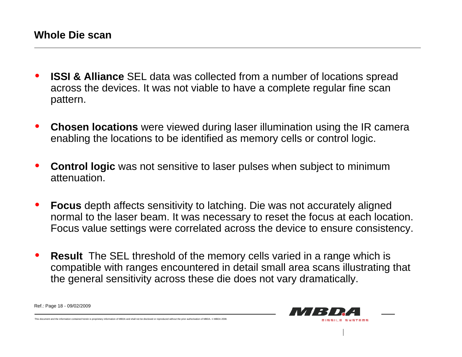- • **ISSI & Alliance** SEL data was collected from a number of locations spread across the devices. It was not viable to have a complete regular fine scan pattern.
- • **Chosen locations** were viewed during laser illumination using the IR camera enabling the locations to be identified as memory cells or control logic.
- • **Control logic** was not sensitive to laser pulses when subject to minimum attenuation.
- • **Focus** depth affects sensitivity to latching. Die was not accurately aligned normal to the laser beam. It was necessary to reset the focus at each location. Focus value settings were correlated across the device to ensure consistency.
- • **Result** The SEL threshold of the memory cells varied in a range which is compatible with ranges encountered in detail small area scans illustrating that the general sensitivity across these die does not vary dramatically.

![](_page_17_Picture_6.jpeg)

Ref.: Page 18 - 09/02/2009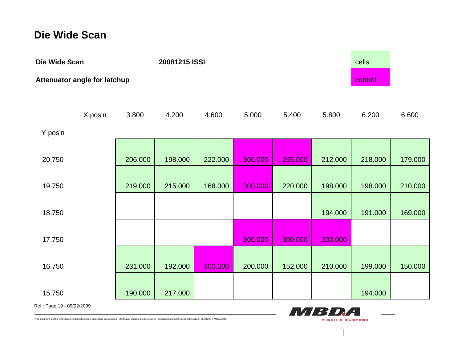#### **Die Wide Scan**

| Die Wide Scan                       |         |         | 20081215 ISSI |         |         |         |         | cells   |         |
|-------------------------------------|---------|---------|---------------|---------|---------|---------|---------|---------|---------|
| <b>Attenuator angle for latchup</b> |         |         |               |         |         |         |         | control |         |
| Y pos'n                             | X pos'n | 3.800   | 4.200         | 4.600   | 5.000   | 5.400   | 5.800   | 6.200   | 6.600   |
| 20.750                              |         | 206.000 | 198.000       | 222.000 | 300.000 | 255.000 | 212.000 | 218.000 | 179.000 |
| 19.750                              |         | 219.000 | 215.000       | 168.000 | 300.000 | 220.000 | 198.000 | 198.000 | 210.000 |
| 18.750                              |         |         |               |         |         |         | 194.000 | 191.000 | 169.000 |
| 17.750                              |         |         |               |         | 300.000 | 300.000 | 300.000 |         |         |
| 16.750                              |         | 231.000 | 192.000       | 300.000 | 200.000 | 152.000 | 210.000 | 199.000 | 150.000 |
| 15.750                              |         | 190.000 | 217.000       |         |         |         |         | 194.000 |         |

MBDA

**MISSILE SYSTEMS** 

Ref.: Page 19 - 09/02/2009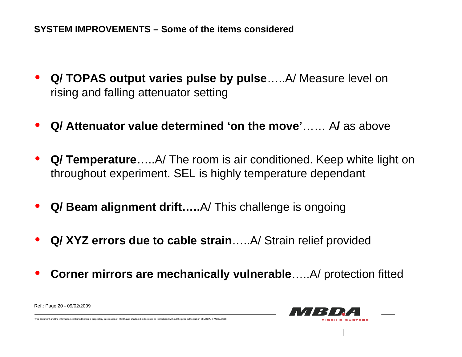- $\bullet$  **Q/ TOPAS output varies pulse by pulse**…..A/ Measure level on rising and falling attenuator setting
- •**Q/ Attenuator value determined 'on the move'**…… A**/** as above
- • **Q/ Temperature**…..A/ The room is air conditioned. Keep white light on throughout experiment. SEL is highly temperature dependant
- $\bullet$ **Q/ Beam alignment drift…..**A/ This challenge is ongoing
- •**Q/ XYZ errors due to cable strain**…..A/ Strain relief provided
- $\bullet$ **Corner mirrors are mechanically vulnerable**…..A/ protection fitted

![](_page_19_Picture_7.jpeg)

Ref.: Page 20 - 09/02/2009